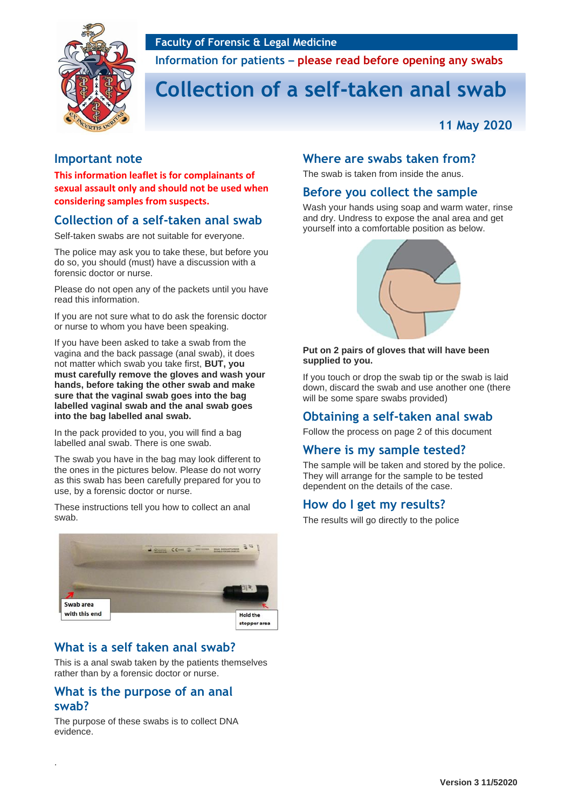#### **Faculty of Forensic & Legal Medicine**



**Information for patients – please read before opening any swabs**

# **Collection of a self-taken anal swab**

**11 May 2020**

#### **Important note**

**This information leaflet is for complainants of sexual assault only and should not be used when considering samples from suspects.**

### **Collection of a self-taken anal swab**

Self-taken swabs are not suitable for everyone.

The police may ask you to take these, but before you do so, you should (must) have a discussion with a forensic doctor or nurse.

Please do not open any of the packets until you have read this information.

If you are not sure what to do ask the forensic doctor or nurse to whom you have been speaking.

If you have been asked to take a swab from the vagina and the back passage (anal swab), it does not matter which swab you take first, **BUT, you must carefully remove the gloves and wash your hands, before taking the other swab and make sure that the vaginal swab goes into the bag labelled vaginal swab and the anal swab goes into the bag labelled anal swab.**

In the pack provided to you, you will find a bag labelled anal swab. There is one swab.

The swab you have in the bag may look different to the ones in the pictures below. Please do not worry as this swab has been carefully prepared for you to use, by a forensic doctor or nurse.

These instructions tell you how to collect an anal swab.



# **What is a self taken anal swab?**

This is a anal swab taken by the patients themselves rather than by a forensic doctor or nurse.

#### **What is the purpose of an anal swab?**

The purpose of these swabs is to collect DNA evidence.

.

#### **Where are swabs taken from?**

The swab is taken from inside the anus.

#### **Before you collect the sample**

Wash your hands using soap and warm water, rinse and dry. Undress to expose the anal area and get yourself into a comfortable position as below.



#### **Put on 2 pairs of gloves that will have been supplied to you.**

If you touch or drop the swab tip or the swab is laid down, discard the swab and use another one (there will be some spare swabs provided)

### **Obtaining a self-taken anal swab**

Follow the process on page 2 of this document

### **Where is my sample tested?**

The sample will be taken and stored by the police. They will arrange for the sample to be tested dependent on the details of the case.

### **How do I get my results?**

The results will go directly to the police